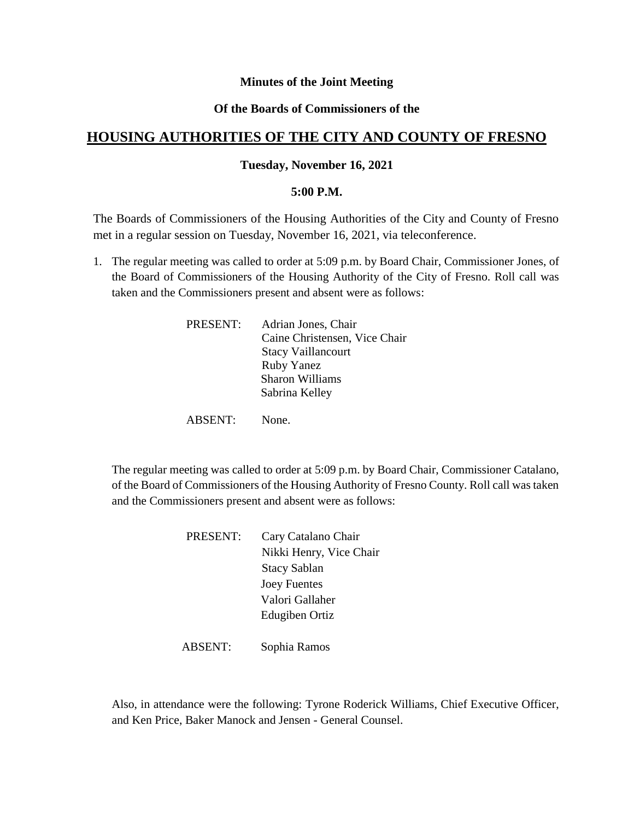# **Minutes of the Joint Meeting**

## **Of the Boards of Commissioners of the**

# **HOUSING AUTHORITIES OF THE CITY AND COUNTY OF FRESNO**

#### **Tuesday, November 16, 2021**

#### **5:00 P.M.**

The Boards of Commissioners of the Housing Authorities of the City and County of Fresno met in a regular session on Tuesday, November 16, 2021, via teleconference.

1. The regular meeting was called to order at 5:09 p.m. by Board Chair, Commissioner Jones, of the Board of Commissioners of the Housing Authority of the City of Fresno. Roll call was taken and the Commissioners present and absent were as follows:

| PRESENT: | Adrian Jones, Chair           |
|----------|-------------------------------|
|          | Caine Christensen, Vice Chair |
|          | <b>Stacy Vaillancourt</b>     |
|          | <b>Ruby Yanez</b>             |
|          | <b>Sharon Williams</b>        |
|          | Sabrina Kelley                |
|          |                               |

ABSENT: None.

The regular meeting was called to order at 5:09 p.m. by Board Chair, Commissioner Catalano, of the Board of Commissioners of the Housing Authority of Fresno County. Roll call was taken and the Commissioners present and absent were as follows:

| PRESENT: | Cary Catalano Chair     |
|----------|-------------------------|
|          | Nikki Henry, Vice Chair |
|          | <b>Stacy Sablan</b>     |
|          | <b>Joey Fuentes</b>     |
|          | Valori Gallaher         |
|          | Edugiben Ortiz          |
|          |                         |

ABSENT: Sophia Ramos

Also, in attendance were the following: Tyrone Roderick Williams, Chief Executive Officer, and Ken Price, Baker Manock and Jensen - General Counsel.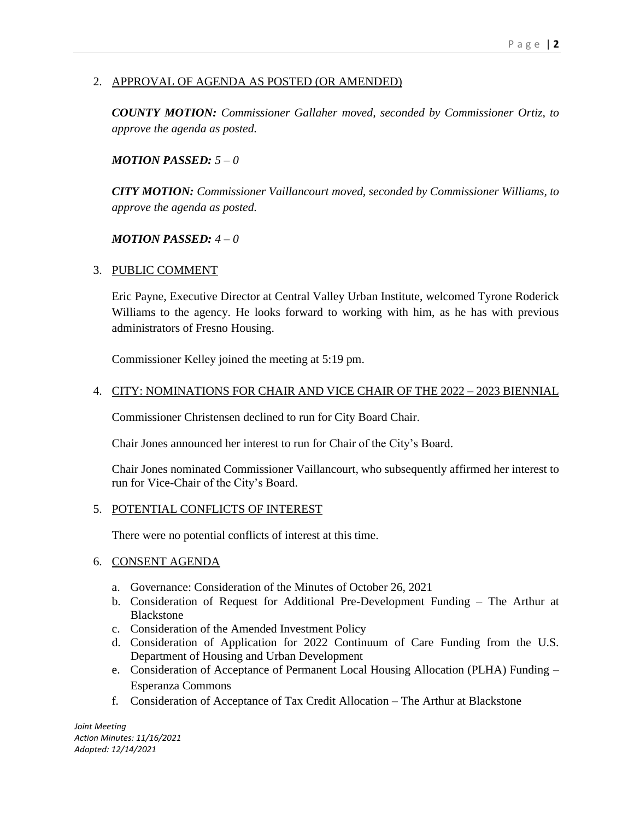# 2. APPROVAL OF AGENDA AS POSTED (OR AMENDED)

*COUNTY MOTION: Commissioner Gallaher moved, seconded by Commissioner Ortiz, to approve the agenda as posted.*

## *MOTION PASSED: 5 – 0*

*CITY MOTION: Commissioner Vaillancourt moved, seconded by Commissioner Williams, to approve the agenda as posted.*

## *MOTION PASSED: 4 – 0*

# 3. PUBLIC COMMENT

Eric Payne, Executive Director at Central Valley Urban Institute, welcomed Tyrone Roderick Williams to the agency. He looks forward to working with him, as he has with previous administrators of Fresno Housing.

Commissioner Kelley joined the meeting at 5:19 pm.

## 4. CITY: NOMINATIONS FOR CHAIR AND VICE CHAIR OF THE 2022 – 2023 BIENNIAL

Commissioner Christensen declined to run for City Board Chair.

Chair Jones announced her interest to run for Chair of the City's Board.

Chair Jones nominated Commissioner Vaillancourt, who subsequently affirmed her interest to run for Vice-Chair of the City's Board.

#### 5. POTENTIAL CONFLICTS OF INTEREST

There were no potential conflicts of interest at this time.

#### 6. CONSENT AGENDA

- a. Governance: Consideration of the Minutes of October 26, 2021
- b. Consideration of Request for Additional Pre-Development Funding The Arthur at Blackstone
- c. Consideration of the Amended Investment Policy
- d. Consideration of Application for 2022 Continuum of Care Funding from the U.S. Department of Housing and Urban Development
- e. Consideration of Acceptance of Permanent Local Housing Allocation (PLHA) Funding Esperanza Commons
- f. Consideration of Acceptance of Tax Credit Allocation The Arthur at Blackstone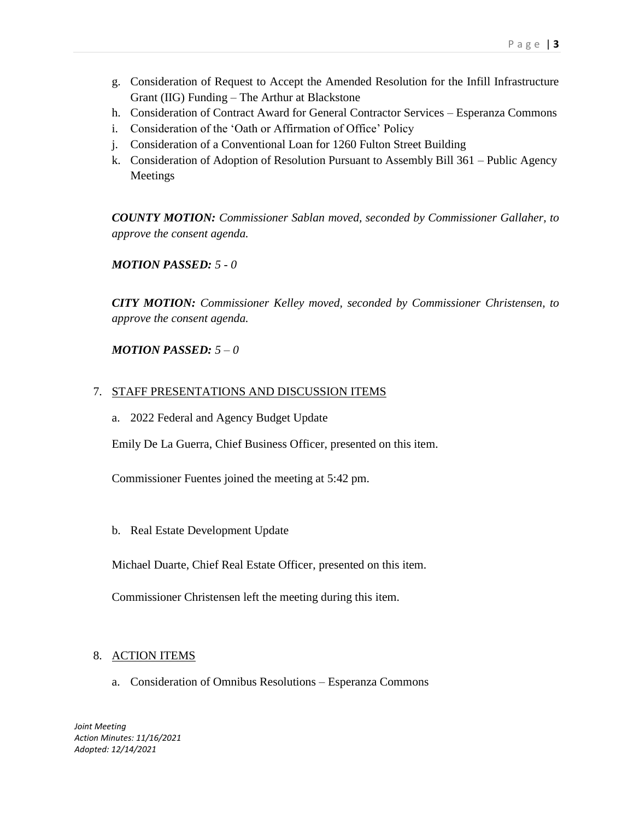- g. Consideration of Request to Accept the Amended Resolution for the Infill Infrastructure Grant (IIG) Funding – The Arthur at Blackstone
- h. Consideration of Contract Award for General Contractor Services Esperanza Commons
- i. Consideration of the 'Oath or Affirmation of Office' Policy
- j. Consideration of a Conventional Loan for 1260 Fulton Street Building
- k. Consideration of Adoption of Resolution Pursuant to Assembly Bill 361 Public Agency Meetings

*COUNTY MOTION: Commissioner Sablan moved, seconded by Commissioner Gallaher, to approve the consent agenda.*

*MOTION PASSED: 5 - 0*

*CITY MOTION: Commissioner Kelley moved, seconded by Commissioner Christensen, to approve the consent agenda.*

# *MOTION PASSED: 5 – 0*

## 7. STAFF PRESENTATIONS AND DISCUSSION ITEMS

a. 2022 Federal and Agency Budget Update

Emily De La Guerra, Chief Business Officer, presented on this item.

Commissioner Fuentes joined the meeting at 5:42 pm.

b. Real Estate Development Update

Michael Duarte, Chief Real Estate Officer, presented on this item.

Commissioner Christensen left the meeting during this item.

# 8. ACTION ITEMS

a. Consideration of Omnibus Resolutions – Esperanza Commons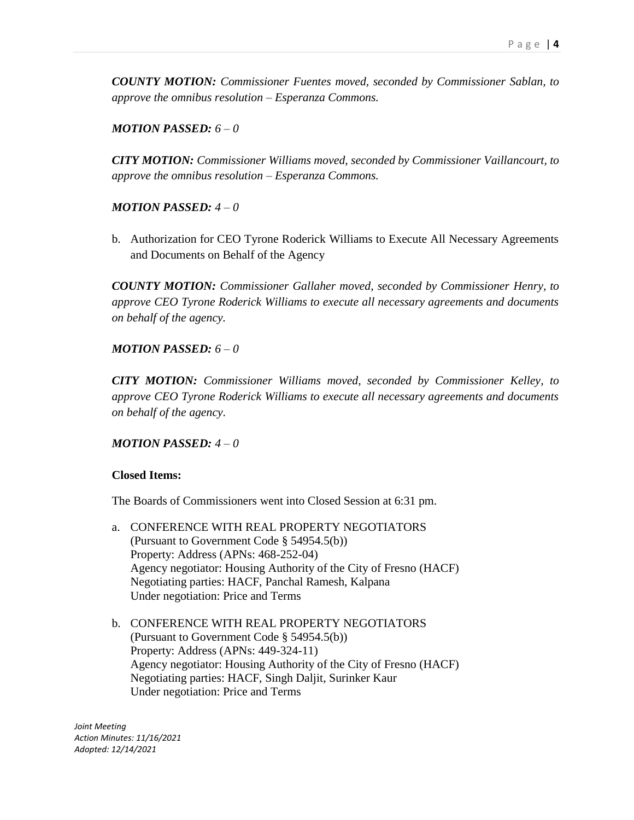*COUNTY MOTION: Commissioner Fuentes moved, seconded by Commissioner Sablan, to approve the omnibus resolution – Esperanza Commons.*

#### *MOTION PASSED: 6 – 0*

*CITY MOTION: Commissioner Williams moved, seconded by Commissioner Vaillancourt, to approve the omnibus resolution – Esperanza Commons.*

## *MOTION PASSED: 4 – 0*

b. Authorization for CEO Tyrone Roderick Williams to Execute All Necessary Agreements and Documents on Behalf of the Agency

*COUNTY MOTION: Commissioner Gallaher moved, seconded by Commissioner Henry, to approve CEO Tyrone Roderick Williams to execute all necessary agreements and documents on behalf of the agency.*

## *MOTION PASSED: 6 – 0*

*CITY MOTION: Commissioner Williams moved, seconded by Commissioner Kelley, to approve CEO Tyrone Roderick Williams to execute all necessary agreements and documents on behalf of the agency.*

#### *MOTION PASSED: 4 – 0*

#### **Closed Items:**

The Boards of Commissioners went into Closed Session at 6:31 pm.

- a. CONFERENCE WITH REAL PROPERTY NEGOTIATORS (Pursuant to Government Code § 54954.5(b)) Property: Address (APNs: 468-252-04) Agency negotiator: Housing Authority of the City of Fresno (HACF) Negotiating parties: HACF, Panchal Ramesh, Kalpana Under negotiation: Price and Terms
- b. CONFERENCE WITH REAL PROPERTY NEGOTIATORS (Pursuant to Government Code § 54954.5(b)) Property: Address (APNs: 449-324-11) Agency negotiator: Housing Authority of the City of Fresno (HACF) Negotiating parties: HACF, Singh Daljit, Surinker Kaur Under negotiation: Price and Terms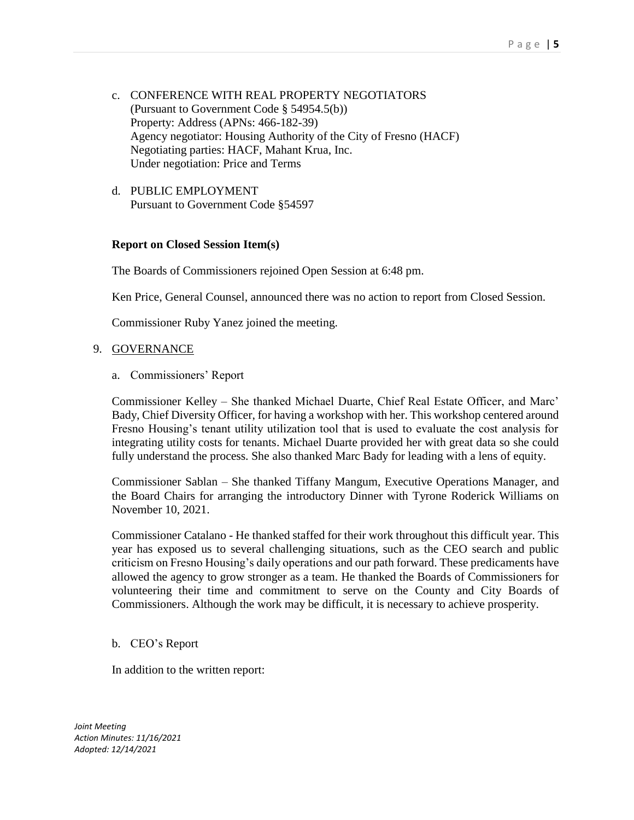- c. CONFERENCE WITH REAL PROPERTY NEGOTIATORS (Pursuant to Government Code § 54954.5(b)) Property: Address (APNs: 466-182-39) Agency negotiator: Housing Authority of the City of Fresno (HACF) Negotiating parties: HACF, Mahant Krua, Inc. Under negotiation: Price and Terms
- d. PUBLIC EMPLOYMENT Pursuant to Government Code §54597

## **Report on Closed Session Item(s)**

The Boards of Commissioners rejoined Open Session at 6:48 pm.

Ken Price, General Counsel, announced there was no action to report from Closed Session.

Commissioner Ruby Yanez joined the meeting.

#### 9. GOVERNANCE

a. Commissioners' Report

Commissioner Kelley – She thanked Michael Duarte, Chief Real Estate Officer, and Marc' Bady, Chief Diversity Officer, for having a workshop with her. This workshop centered around Fresno Housing's tenant utility utilization tool that is used to evaluate the cost analysis for integrating utility costs for tenants. Michael Duarte provided her with great data so she could fully understand the process. She also thanked Marc Bady for leading with a lens of equity.

Commissioner Sablan – She thanked Tiffany Mangum, Executive Operations Manager, and the Board Chairs for arranging the introductory Dinner with Tyrone Roderick Williams on November 10, 2021.

Commissioner Catalano - He thanked staffed for their work throughout this difficult year. This year has exposed us to several challenging situations, such as the CEO search and public criticism on Fresno Housing's daily operations and our path forward. These predicaments have allowed the agency to grow stronger as a team. He thanked the Boards of Commissioners for volunteering their time and commitment to serve on the County and City Boards of Commissioners. Although the work may be difficult, it is necessary to achieve prosperity.

#### b. CEO's Report

In addition to the written report: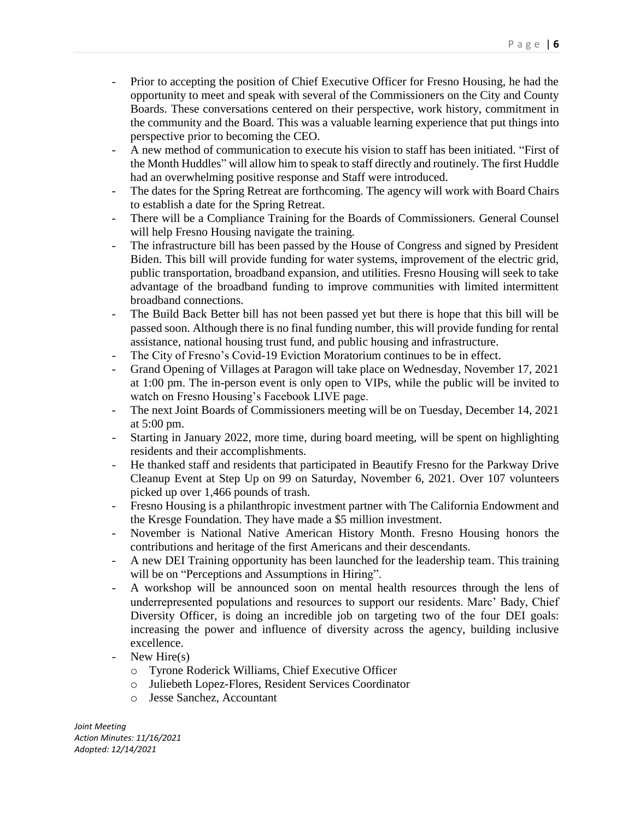- Prior to accepting the position of Chief Executive Officer for Fresno Housing, he had the opportunity to meet and speak with several of the Commissioners on the City and County Boards. These conversations centered on their perspective, work history, commitment in the community and the Board. This was a valuable learning experience that put things into perspective prior to becoming the CEO.
- A new method of communication to execute his vision to staff has been initiated. "First of the Month Huddles" will allow him to speak to staff directly and routinely. The first Huddle had an overwhelming positive response and Staff were introduced.
- The dates for the Spring Retreat are forthcoming. The agency will work with Board Chairs to establish a date for the Spring Retreat.
- There will be a Compliance Training for the Boards of Commissioners. General Counsel will help Fresno Housing navigate the training.
- The infrastructure bill has been passed by the House of Congress and signed by President Biden. This bill will provide funding for water systems, improvement of the electric grid, public transportation, broadband expansion, and utilities. Fresno Housing will seek to take advantage of the broadband funding to improve communities with limited intermittent broadband connections.
- The Build Back Better bill has not been passed yet but there is hope that this bill will be passed soon. Although there is no final funding number, this will provide funding for rental assistance, national housing trust fund, and public housing and infrastructure.
- The City of Fresno's Covid-19 Eviction Moratorium continues to be in effect.
- Grand Opening of Villages at Paragon will take place on Wednesday, November 17, 2021 at 1:00 pm. The in-person event is only open to VIPs, while the public will be invited to watch on Fresno Housing's Facebook LIVE page.
- The next Joint Boards of Commissioners meeting will be on Tuesday, December 14, 2021 at 5:00 pm.
- Starting in January 2022, more time, during board meeting, will be spent on highlighting residents and their accomplishments.
- He thanked staff and residents that participated in Beautify Fresno for the Parkway Drive Cleanup Event at Step Up on 99 on Saturday, November 6, 2021. Over 107 volunteers picked up over 1,466 pounds of trash.
- Fresno Housing is a philanthropic investment partner with The California Endowment and the Kresge Foundation. They have made a \$5 million investment.
- November is National Native American History Month. Fresno Housing honors the contributions and heritage of the first Americans and their descendants.
- A new DEI Training opportunity has been launched for the leadership team. This training will be on "Perceptions and Assumptions in Hiring".
- A workshop will be announced soon on mental health resources through the lens of underrepresented populations and resources to support our residents. Marc' Bady, Chief Diversity Officer, is doing an incredible job on targeting two of the four DEI goals: increasing the power and influence of diversity across the agency, building inclusive excellence.
- New Hire $(s)$ 
	- o Tyrone Roderick Williams, Chief Executive Officer
	- o Juliebeth Lopez-Flores, Resident Services Coordinator
	- o Jesse Sanchez, Accountant